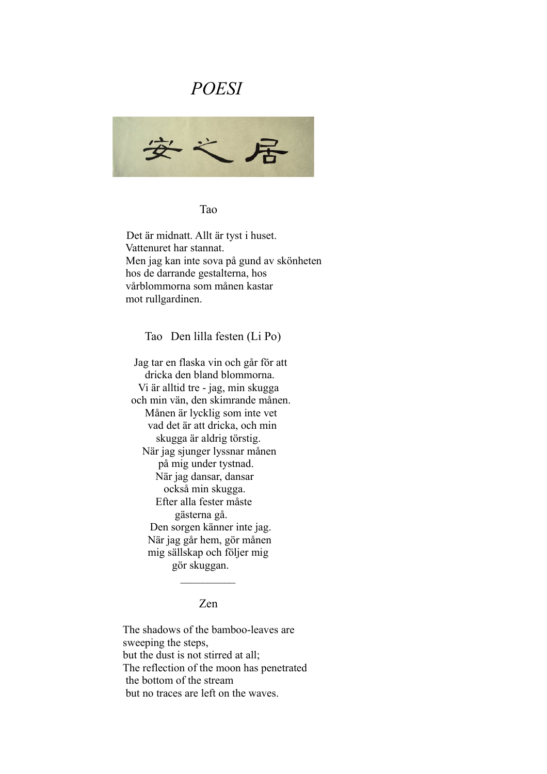# *POESI*



Tao

 Det är midnatt. Allt är tyst i huset. Vattenuret har stannat. Men jag kan inte sova på gund av skönheten hos de darrande gestalterna, hos vårblommorna som månen kastar mot rullgardinen.

Tao Den lilla festen (Li Po)

 Jag tar en flaska vin och går för att dricka den bland blommorna. Vi är alltid tre - jag, min skugga och min vän, den skimrande månen. Månen är lycklig som inte vet vad det är att dricka, och min skugga är aldrig törstig. När jag sjunger lyssnar månen på mig under tystnad. När jag dansar, dansar också min skugga. Efter alla fester måste gästerna gå. Den sorgen känner inte jag. När jag går hem, gör månen mig sällskap och följer mig gör skuggan.

## Zen

 $\frac{1}{2}$  ,  $\frac{1}{2}$  ,  $\frac{1}{2}$  ,  $\frac{1}{2}$  ,  $\frac{1}{2}$  ,  $\frac{1}{2}$  ,  $\frac{1}{2}$ 

 The shadows of the bamboo-leaves are sweeping the steps, but the dust is not stirred at all; The reflection of the moon has penetrated the bottom of the stream but no traces are left on the waves.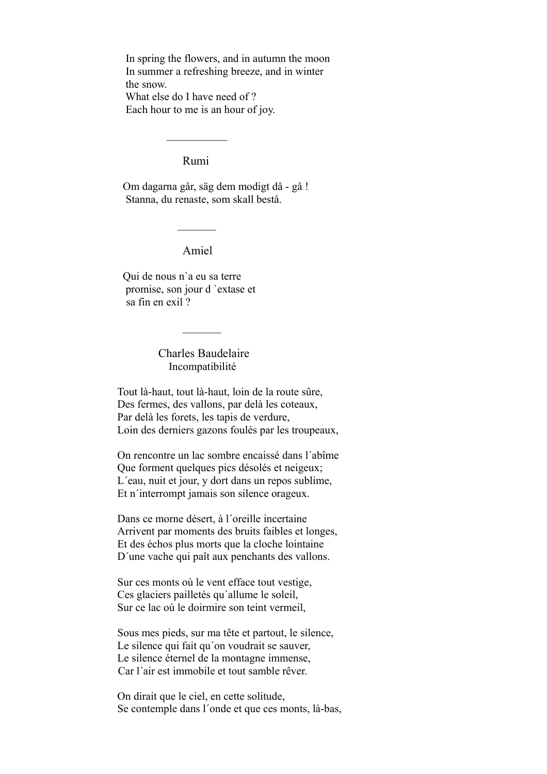In spring the flowers, and in autumn the moon In summer a refreshing breeze, and in winter the snow.

 What else do I have need of ? Each hour to me is an hour of joy.

#### Rumi

 $\frac{1}{2}$  ,  $\frac{1}{2}$  ,  $\frac{1}{2}$  ,  $\frac{1}{2}$  ,  $\frac{1}{2}$  ,  $\frac{1}{2}$ 

 Om dagarna går, säg dem modigt då - gå ! Stanna, du renaste, som skall bestå.

Amiel

 $\mathcal{L}=\mathcal{L}=\mathcal{L}$ 

 Qui de nous n`a eu sa terre promise, son jour d `extase et sa fin en exil ?

> Charles Baudelaire Incompatibilité

 $\frac{1}{2}$ 

Tout là-haut, tout là-haut, loin de la route sûre, Des fermes, des vallons, par delà les coteaux, Par delà les forets, les tapis de verdure, Loin des derniers gazons foulés par les troupeaux,

On rencontre un lac sombre encaissé dans l´abîme Que forment quelques pics désolés et neigeux; L´eau, nuit et jour, y dort dans un repos sublime, Et n´interrompt jamais son silence orageux.

Dans ce morne désert, à l´oreille incertaine Arrivent par moments des bruits faibles et longes, Et des échos plus morts que la cloche lointaine D´une vache qui paît aux penchants des vallons.

Sur ces monts où le vent efface tout vestige, Ces glaciers pailletés qu´allume le soleil, Sur ce lac où le doirmire son teint vermeil,

Sous mes pieds, sur ma tête et partout, le silence, Le silence qui fait qu´on voudrait se sauver, Le silence éternel de la montagne immense, Car l´air est immobile et tout samble rêver.

On dirait que le ciel, en cette solitude, Se contemple dans l´onde et que ces monts, là-bas,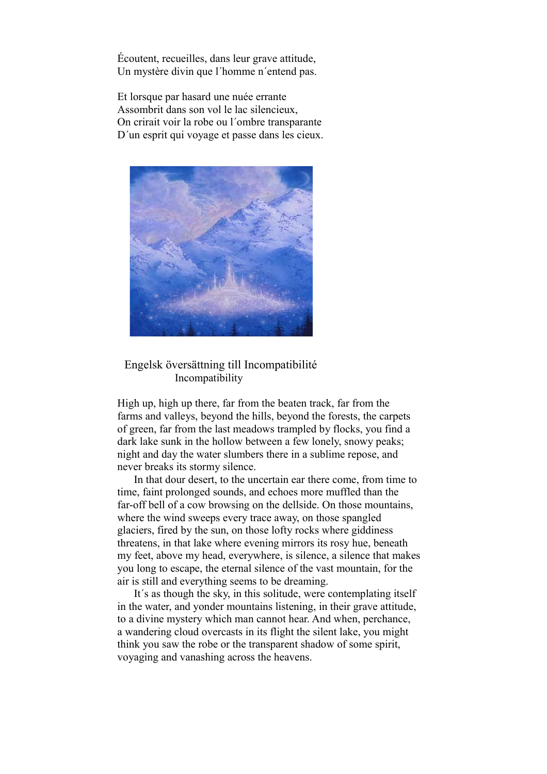Écoutent, recueilles, dans leur grave attitude, Un mystère divin que l´homme n´entend pas.

Et lorsque par hasard une nuée errante Assombrit dans son vol le lac silencieux, On crirait voir la robe ou l´ombre transparante D´un esprit qui voyage et passe dans les cieux.



#### Engelsk översättning till Incompatibilité Incompatibility

High up, high up there, far from the beaten track, far from the farms and valleys, beyond the hills, beyond the forests, the carpets of green, far from the last meadows trampled by flocks, you find a dark lake sunk in the hollow between a few lonely, snowy peaks; night and day the water slumbers there in a sublime repose, and never breaks its stormy silence.

 In that dour desert, to the uncertain ear there come, from time to time, faint prolonged sounds, and echoes more muffled than the far-off bell of a cow browsing on the dellside. On those mountains, where the wind sweeps every trace away, on those spangled glaciers, fired by the sun, on those lofty rocks where giddiness threatens, in that lake where evening mirrors its rosy hue, beneath my feet, above my head, everywhere, is silence, a silence that makes you long to escape, the eternal silence of the vast mountain, for the air is still and everything seems to be dreaming.

 It´s as though the sky, in this solitude, were contemplating itself in the water, and yonder mountains listening, in their grave attitude, to a divine mystery which man cannot hear. And when, perchance, a wandering cloud overcasts in its flight the silent lake, you might think you saw the robe or the transparent shadow of some spirit, voyaging and vanashing across the heavens.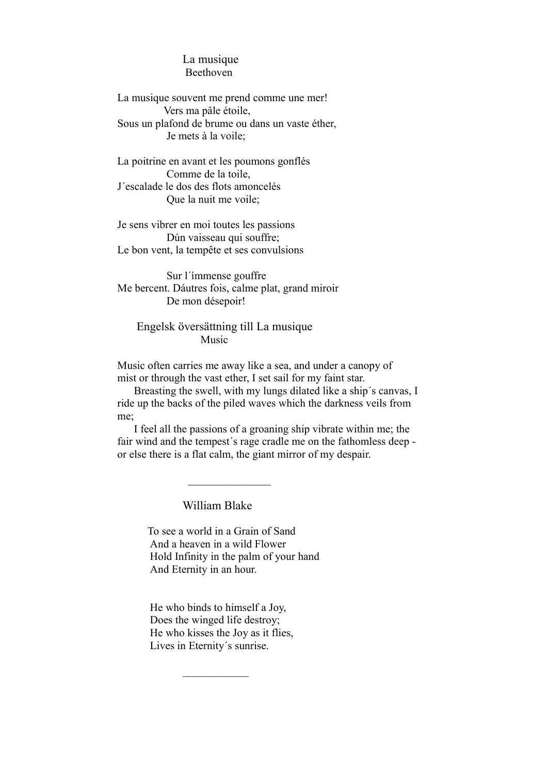## La musique Beethoven

La musique souvent me prend comme une mer! Vers ma pâle étoile, Sous un plafond de brume ou dans un vaste éther, Je mets à la voile;

La poitrine en avant et les poumons gonflés Comme de la toile, J´escalade le dos des flots amoncelés Que la nuit me voile;

Je sens vibrer en moi toutes les passions Dún vaisseau qui souffre; Le bon vent, la tempête et ses convulsions

 Sur l´ímmense gouffre Me bercent. Dáutres fois, calme plat, grand miroir De mon désepoir!

### Engelsk översättning till La musique Music

Music often carries me away like a sea, and under a canopy of mist or through the vast ether, I set sail for my faint star.

 Breasting the swell, with my lungs dilated like a ship´s canvas, I ride up the backs of the piled waves which the darkness veils from me;

 I feel all the passions of a groaning ship vibrate within me; the fair wind and the tempest´s rage cradle me on the fathomless deep or else there is a flat calm, the giant mirror of my despair.

William Blake

 $\frac{1}{2}$ 

 To see a world in a Grain of Sand And a heaven in a wild Flower Hold Infinity in the palm of your hand And Eternity in an hour.

He who binds to himself a Joy, Does the winged life destroy; He who kisses the Joy as it flies, Lives in Eternity´s sunrise.

 $\frac{1}{2}$